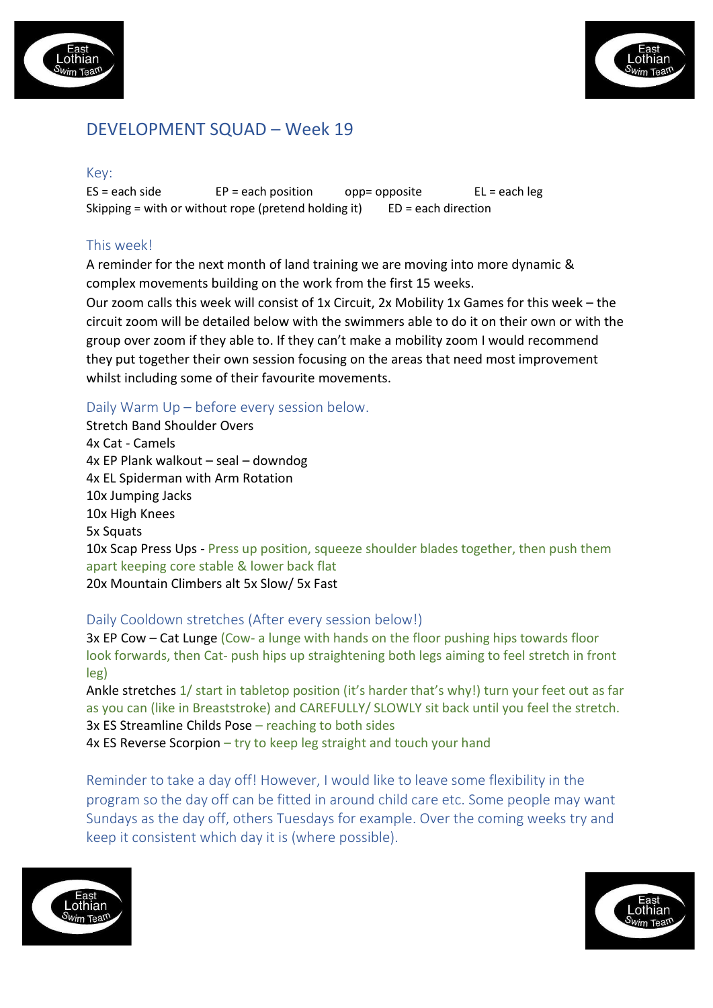



# DEVELOPMENT SQUAD – Week 19

### Key:

 $ES = each side$   $EP = each position$  opp= opposite  $EL = each \, leg$ Skipping = with or without rope (pretend holding it)  $ED = each direction$ 

# This week!

A reminder for the next month of land training we are moving into more dynamic & complex movements building on the work from the first 15 weeks.

Our zoom calls this week will consist of 1x Circuit, 2x Mobility 1x Games for this week – the circuit zoom will be detailed below with the swimmers able to do it on their own or with the group over zoom if they able to. If they can't make a mobility zoom I would recommend they put together their own session focusing on the areas that need most improvement whilst including some of their favourite movements.

# Daily Warm Up – before every session below.

Stretch Band Shoulder Overs 4x Cat - Camels 4x EP Plank walkout – seal – downdog 4x EL Spiderman with Arm Rotation 10x Jumping Jacks 10x High Knees 5x Squats 10x Scap Press Ups - Press up position, squeeze shoulder blades together, then push them apart keeping core stable & lower back flat 20x Mountain Climbers alt 5x Slow/ 5x Fast

# Daily Cooldown stretches (After every session below!)

3x EP Cow – Cat Lunge (Cow- a lunge with hands on the floor pushing hips towards floor look forwards, then Cat- push hips up straightening both legs aiming to feel stretch in front leg)

Ankle stretches 1/ start in tabletop position (it's harder that's why!) turn your feet out as far as you can (like in Breaststroke) and CAREFULLY/ SLOWLY sit back until you feel the stretch. 3x ES Streamline Childs Pose – reaching to both sides 4x ES Reverse Scorpion – try to keep leg straight and touch your hand

Reminder to take a day off! However, I would like to leave some flexibility in the program so the day off can be fitted in around child care etc. Some people may want Sundays as the day off, others Tuesdays for example. Over the coming weeks try and keep it consistent which day it is (where possible).



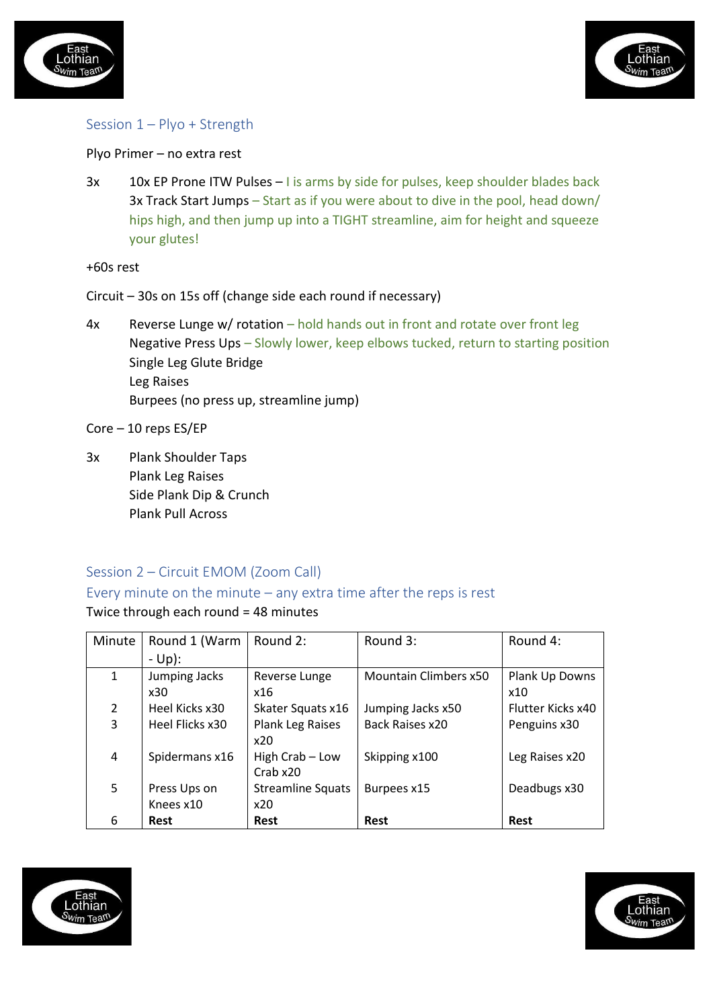



## Session 1 – Plyo + Strength

### Plyo Primer – no extra rest

3x 10x EP Prone ITW Pulses – I is arms by side for pulses, keep shoulder blades back 3x Track Start Jumps – Start as if you were about to dive in the pool, head down/ hips high, and then jump up into a TIGHT streamline, aim for height and squeeze your glutes!

+60s rest

- Circuit 30s on 15s off (change side each round if necessary)
- 4x Reverse Lunge w/ rotation hold hands out in front and rotate over front leg Negative Press Ups – Slowly lower, keep elbows tucked, return to starting position Single Leg Glute Bridge Leg Raises Burpees (no press up, streamline jump)
- Core 10 reps ES/EP
- 3x Plank Shoulder Taps Plank Leg Raises Side Plank Dip & Crunch Plank Pull Across

### Session 2 – Circuit EMOM (Zoom Call)

# Every minute on the minute – any extra time after the reps is rest

### Twice through each round = 48 minutes

| Minute        | Round 1 (Warm   | Round 2:                 | Round 3:                     | Round 4:          |
|---------------|-----------------|--------------------------|------------------------------|-------------------|
|               | - Up):          |                          |                              |                   |
| $\mathbf{1}$  | Jumping Jacks   | Reverse Lunge            | <b>Mountain Climbers x50</b> | Plank Up Downs    |
|               | x30             | x16                      |                              | x10               |
| $\mathcal{L}$ | Heel Kicks x30  | Skater Squats x16        | Jumping Jacks x50            | Flutter Kicks x40 |
| 3             | Heel Flicks x30 | Plank Leg Raises         | Back Raises x20              | Penguins x30      |
|               |                 | x20                      |                              |                   |
| 4             | Spidermans x16  | High Crab - Low          | Skipping x100                | Leg Raises x20    |
|               |                 | Crab x20                 |                              |                   |
| 5             | Press Ups on    | <b>Streamline Squats</b> | Burpees x15                  | Deadbugs x30      |
|               | Knees x10       | x20                      |                              |                   |
| 6             | Rest            | <b>Rest</b>              | Rest                         | <b>Rest</b>       |